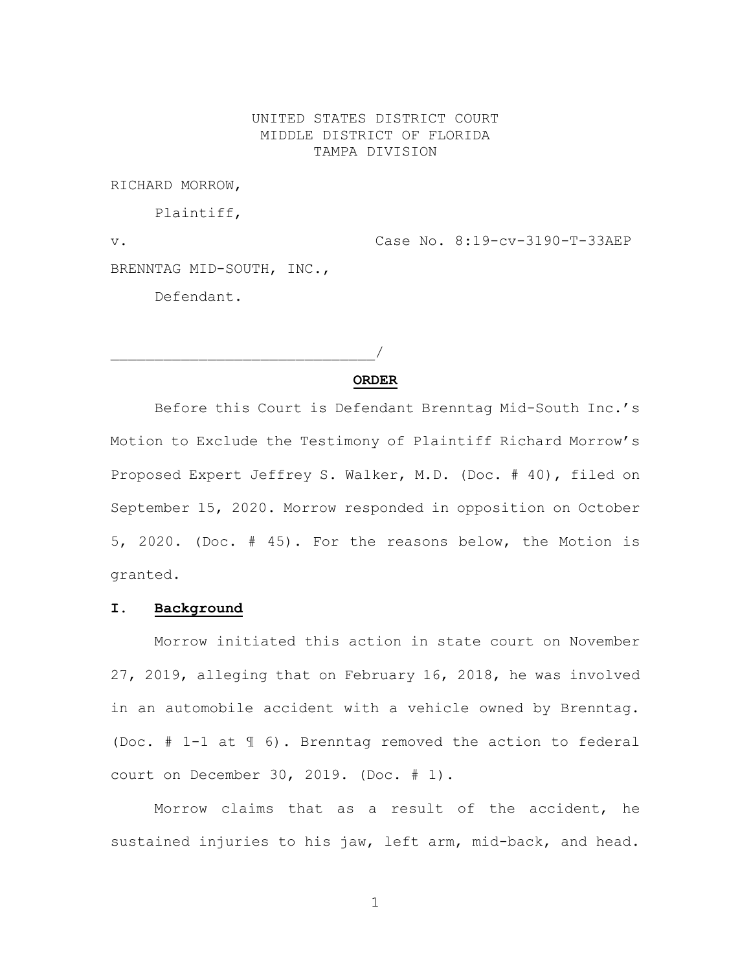## UNITED STATES DISTRICT COURT MIDDLE DISTRICT OF FLORIDA TAMPA DIVISION

RICHARD MORROW,

Plaintiff,

 $\overline{\phantom{a}}$ 

v. Case No. 8:19-cv-3190-T-33AEP BRENNTAG MID-SOUTH, INC., Defendant.

## **ORDER**

Before this Court is Defendant Brenntag Mid-South Inc.'s Motion to Exclude the Testimony of Plaintiff Richard Morrow's Proposed Expert Jeffrey S. Walker, M.D. (Doc. # 40), filed on September 15, 2020. Morrow responded in opposition on October 5, 2020. (Doc. # 45). For the reasons below, the Motion is granted.

## **I. Background**

Morrow initiated this action in state court on November 27, 2019, alleging that on February 16, 2018, he was involved in an automobile accident with a vehicle owned by Brenntag. (Doc. # 1-1 at ¶ 6). Brenntag removed the action to federal court on December 30, 2019. (Doc. # 1).

Morrow claims that as a result of the accident, he sustained injuries to his jaw, left arm, mid-back, and head.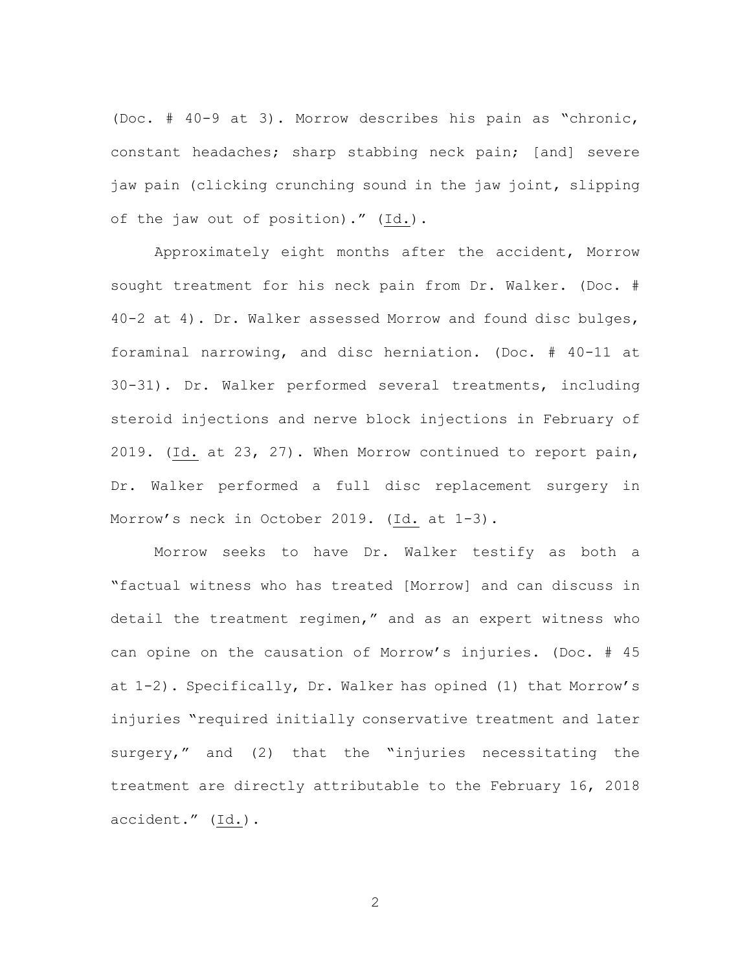(Doc. # 40-9 at 3). Morrow describes his pain as "chronic, constant headaches; sharp stabbing neck pain; [and] severe jaw pain (clicking crunching sound in the jaw joint, slipping of the jaw out of position)." (Id.).

Approximately eight months after the accident, Morrow sought treatment for his neck pain from Dr. Walker. (Doc. # 40-2 at 4). Dr. Walker assessed Morrow and found disc bulges, foraminal narrowing, and disc herniation. (Doc. # 40-11 at 30-31). Dr. Walker performed several treatments, including steroid injections and nerve block injections in February of 2019. (Id. at 23, 27). When Morrow continued to report pain, Dr. Walker performed a full disc replacement surgery in Morrow's neck in October 2019. (Id. at 1-3).

Morrow seeks to have Dr. Walker testify as both a "factual witness who has treated [Morrow] and can discuss in detail the treatment regimen," and as an expert witness who can opine on the causation of Morrow's injuries. (Doc. # 45 at 1-2). Specifically, Dr. Walker has opined (1) that Morrow's injuries "required initially conservative treatment and later surgery," and (2) that the "injuries necessitating the treatment are directly attributable to the February 16, 2018 accident." (Id.).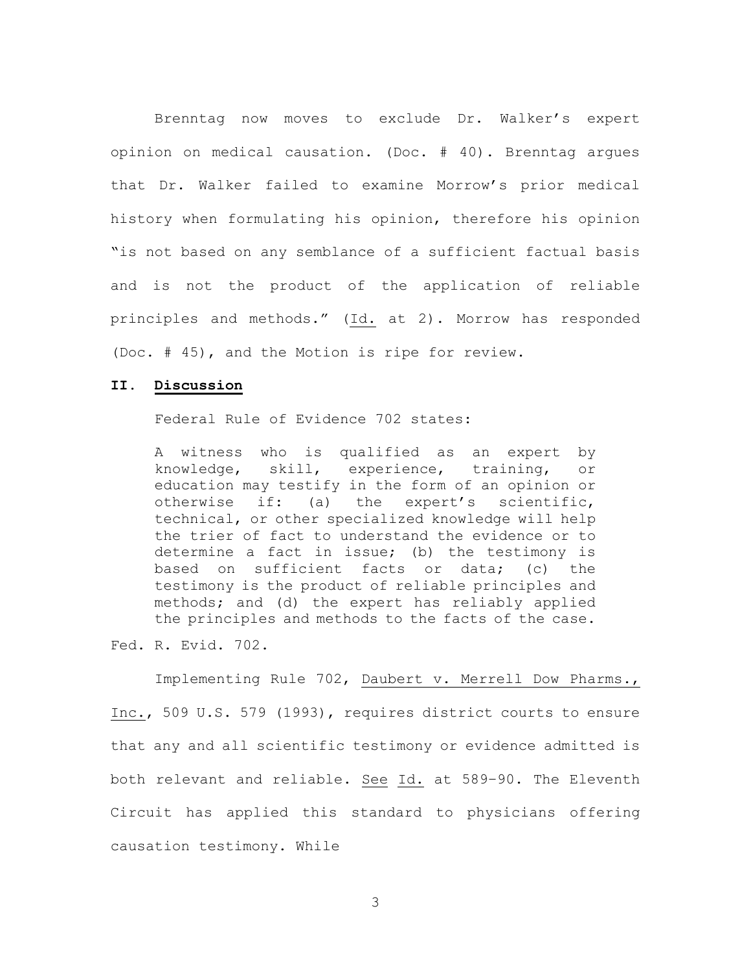Brenntag now moves to exclude Dr. Walker's expert opinion on medical causation. (Doc. # 40). Brenntag argues that Dr. Walker failed to examine Morrow's prior medical history when formulating his opinion, therefore his opinion "is not based on any semblance of a sufficient factual basis and is not the product of the application of reliable principles and methods." (Id. at 2). Morrow has responded (Doc. # 45), and the Motion is ripe for review.

## **II. Discussion**

Federal Rule of Evidence 702 states:

A witness who is qualified as an expert by knowledge, skill, experience, training, or education may testify in the form of an opinion or otherwise if: (a) the expert's scientific, technical, or other specialized knowledge will help the trier of fact to understand the evidence or to determine a fact in issue; (b) the testimony is based on sufficient facts or data; (c) the testimony is the product of reliable principles and methods; and (d) the expert has reliably applied the principles and methods to the facts of the case.

Fed. R. Evid. 702.

Implementing Rule 702, Daubert v. Merrell Dow Pharms., Inc., 509 U.S. 579 (1993), requires district courts to ensure that any and all scientific testimony or evidence admitted is both relevant and reliable. See Id. at 589–90. The Eleventh Circuit has applied this standard to physicians offering causation testimony. While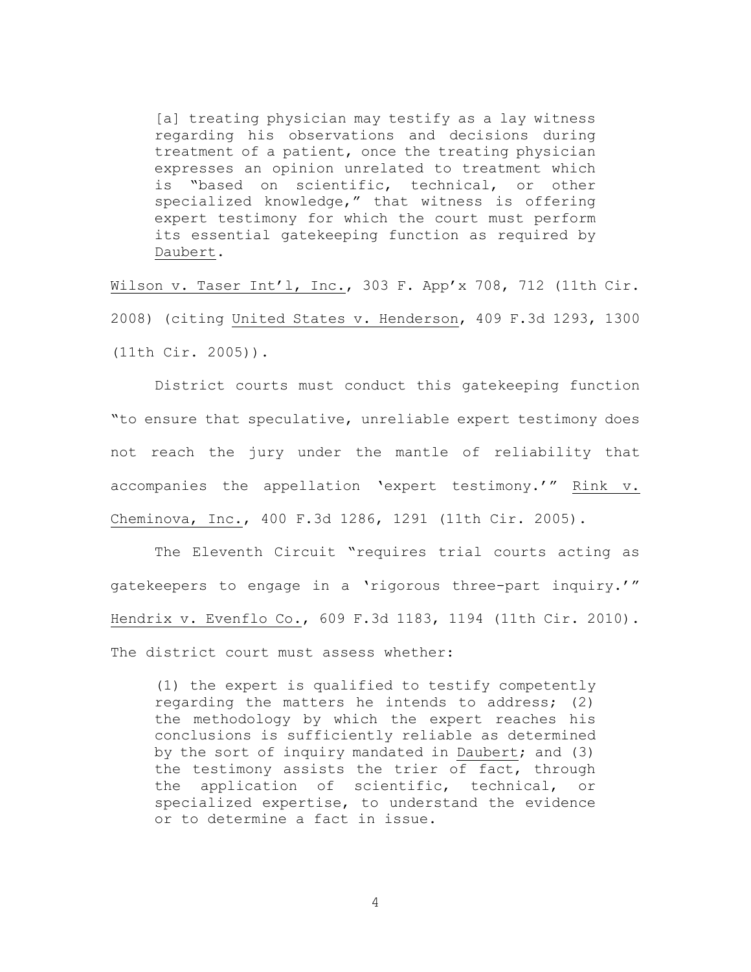[a] treating physician may testify as a lay witness regarding his observations and decisions during treatment of a patient, once the treating physician expresses an opinion unrelated to treatment which is "based on scientific, technical, or other specialized knowledge," that witness is offering expert testimony for which the court must perform its essential gatekeeping function as required by Daubert.

Wilson v. Taser Int'l, Inc., 303 F. App'x 708, 712 (11th Cir. 2008) (citing United States v. Henderson, 409 F.3d 1293, 1300 (11th Cir. 2005)).

District courts must conduct this gatekeeping function "to ensure that speculative, unreliable expert testimony does not reach the jury under the mantle of reliability that accompanies the appellation 'expert testimony.'" Rink v. Cheminova, Inc., 400 F.3d 1286, 1291 (11th Cir. 2005).

The Eleventh Circuit "requires trial courts acting as gatekeepers to engage in a 'rigorous three-part inquiry.'" Hendrix v. Evenflo Co., 609 F.3d 1183, 1194 (11th Cir. 2010). The district court must assess whether:

(1) the expert is qualified to testify competently regarding the matters he intends to address; (2) the methodology by which the expert reaches his conclusions is sufficiently reliable as determined by the sort of inquiry mandated in Daubert; and (3) the testimony assists the trier of fact, through the application of scientific, technical, or specialized expertise, to understand the evidence or to determine a fact in issue.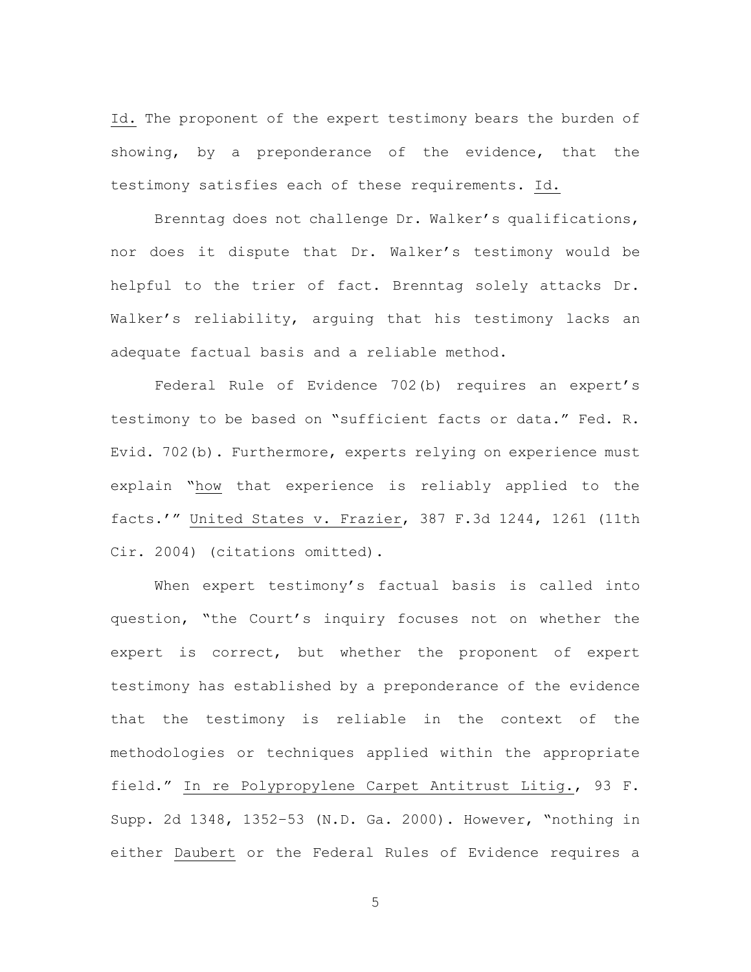Id. The proponent of the expert testimony bears the burden of showing, by a preponderance of the evidence, that the testimony satisfies each of these requirements. Id.

Brenntag does not challenge Dr. Walker's qualifications, nor does it dispute that Dr. Walker's testimony would be helpful to the trier of fact. Brenntag solely attacks Dr. Walker's reliability, arguing that his testimony lacks an adequate factual basis and a reliable method.

Federal Rule of Evidence 702(b) requires an expert's testimony to be based on "sufficient facts or data." Fed. R. Evid. 702(b). Furthermore, experts relying on experience must explain "how that experience is reliably applied to the facts.'" United States v. Frazier, 387 F.3d 1244, 1261 (11th Cir. 2004) (citations omitted).

When expert testimony's factual basis is called into question, "the Court's inquiry focuses not on whether the expert is correct, but whether the proponent of expert testimony has established by a preponderance of the evidence that the testimony is reliable in the context of the methodologies or techniques applied within the appropriate field." In re Polypropylene Carpet Antitrust Litig., 93 F. Supp. 2d 1348, 1352–53 (N.D. Ga. 2000). However, "nothing in either Daubert or the Federal Rules of Evidence requires a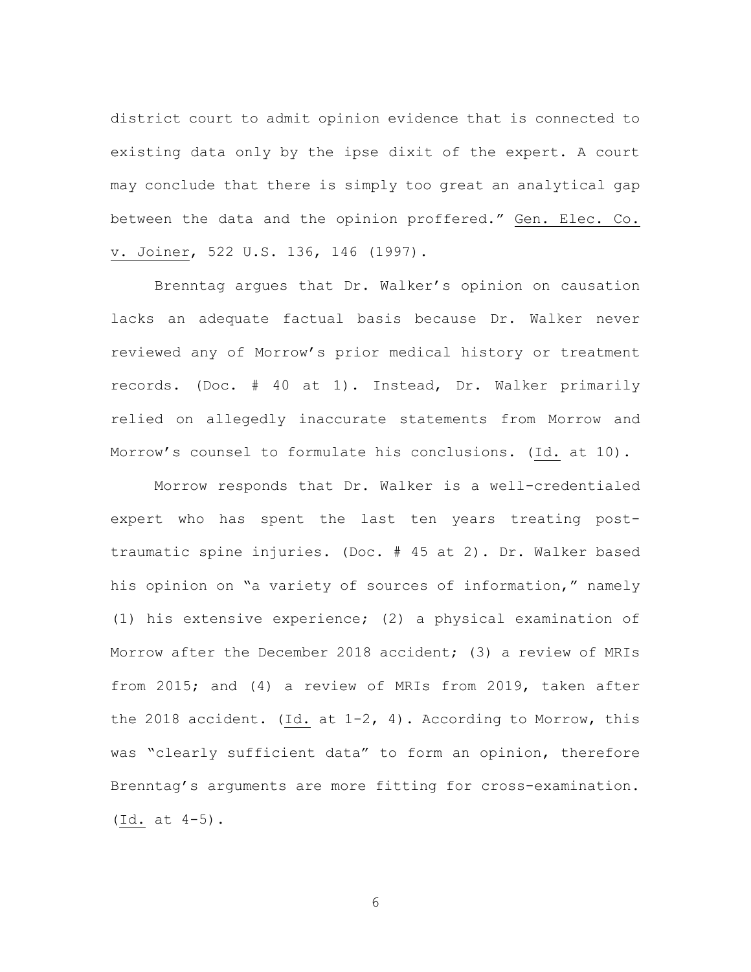district court to admit opinion evidence that is connected to existing data only by the ipse dixit of the expert. A court may conclude that there is simply too great an analytical gap between the data and the opinion proffered." Gen. Elec. Co. v. Joiner, 522 U.S. 136, 146 (1997).

Brenntag argues that Dr. Walker's opinion on causation lacks an adequate factual basis because Dr. Walker never reviewed any of Morrow's prior medical history or treatment records. (Doc. # 40 at 1). Instead, Dr. Walker primarily relied on allegedly inaccurate statements from Morrow and Morrow's counsel to formulate his conclusions. (Id. at 10).

Morrow responds that Dr. Walker is a well-credentialed expert who has spent the last ten years treating posttraumatic spine injuries. (Doc. # 45 at 2). Dr. Walker based his opinion on "a variety of sources of information," namely (1) his extensive experience; (2) a physical examination of Morrow after the December 2018 accident; (3) a review of MRIs from 2015; and (4) a review of MRIs from 2019, taken after the 2018 accident. (Id. at  $1-2$ , 4). According to Morrow, this was "clearly sufficient data" to form an opinion, therefore Brenntag's arguments are more fitting for cross-examination. (Id. at 4-5).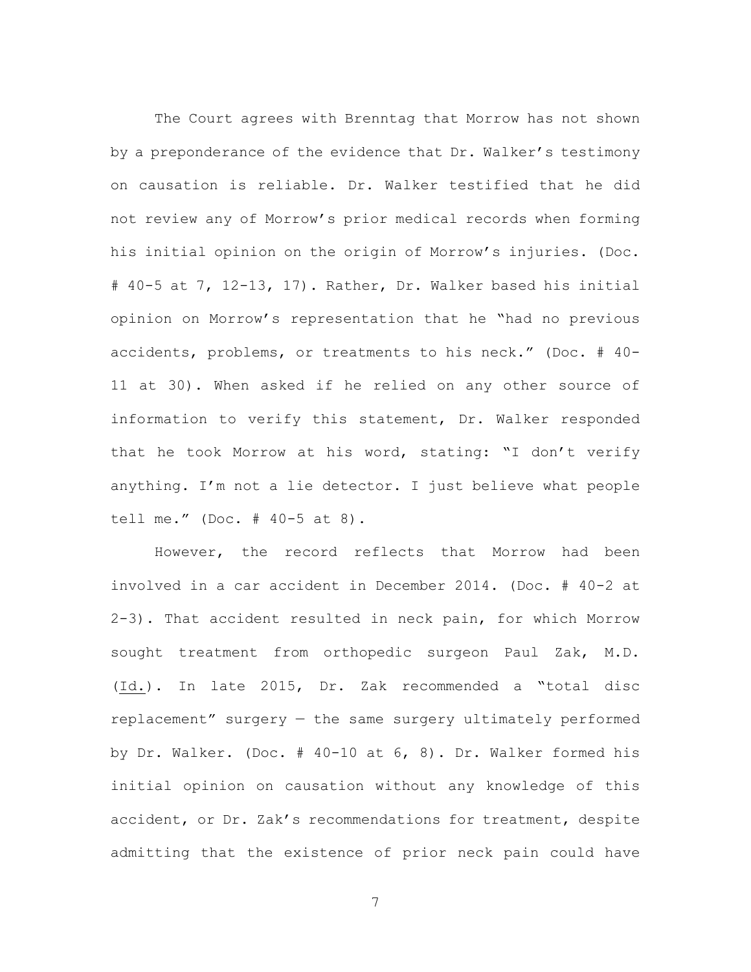The Court agrees with Brenntag that Morrow has not shown by a preponderance of the evidence that Dr. Walker's testimony on causation is reliable. Dr. Walker testified that he did not review any of Morrow's prior medical records when forming his initial opinion on the origin of Morrow's injuries. (Doc. # 40-5 at 7, 12-13, 17). Rather, Dr. Walker based his initial opinion on Morrow's representation that he "had no previous accidents, problems, or treatments to his neck." (Doc. # 40- 11 at 30). When asked if he relied on any other source of information to verify this statement, Dr. Walker responded that he took Morrow at his word, stating: "I don't verify anything. I'm not a lie detector. I just believe what people tell me." (Doc. # 40-5 at 8).

However, the record reflects that Morrow had been involved in a car accident in December 2014. (Doc. # 40-2 at 2-3). That accident resulted in neck pain, for which Morrow sought treatment from orthopedic surgeon Paul Zak, M.D. (Id.). In late 2015, Dr. Zak recommended a "total disc replacement" surgery — the same surgery ultimately performed by Dr. Walker. (Doc. # 40-10 at 6, 8). Dr. Walker formed his initial opinion on causation without any knowledge of this accident, or Dr. Zak's recommendations for treatment, despite admitting that the existence of prior neck pain could have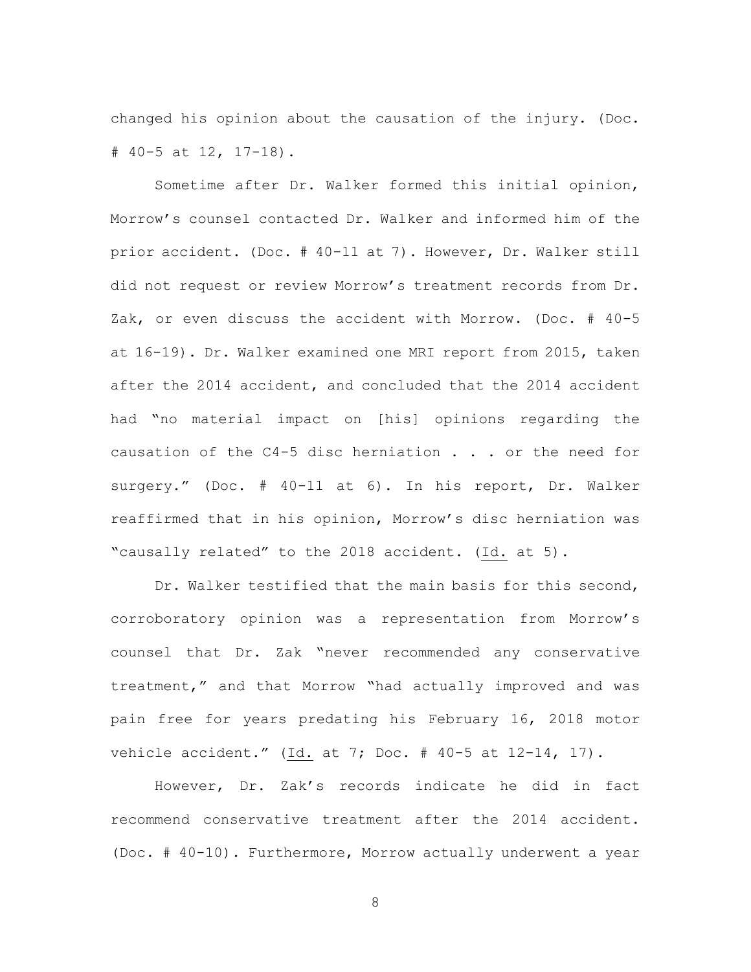changed his opinion about the causation of the injury. (Doc. # 40-5 at 12, 17-18).

Sometime after Dr. Walker formed this initial opinion, Morrow's counsel contacted Dr. Walker and informed him of the prior accident. (Doc. # 40-11 at 7). However, Dr. Walker still did not request or review Morrow's treatment records from Dr. Zak, or even discuss the accident with Morrow. (Doc. # 40-5 at 16-19). Dr. Walker examined one MRI report from 2015, taken after the 2014 accident, and concluded that the 2014 accident had "no material impact on [his] opinions regarding the causation of the  $C4-5$  disc herniation  $\ldots$  or the need for surgery." (Doc. # 40-11 at 6). In his report, Dr. Walker reaffirmed that in his opinion, Morrow's disc herniation was "causally related" to the 2018 accident. (Id. at 5).

Dr. Walker testified that the main basis for this second, corroboratory opinion was a representation from Morrow's counsel that Dr. Zak "never recommended any conservative treatment," and that Morrow "had actually improved and was pain free for years predating his February 16, 2018 motor vehicle accident." (Id. at 7; Doc. # 40-5 at 12-14, 17).

However, Dr. Zak's records indicate he did in fact recommend conservative treatment after the 2014 accident. (Doc. # 40-10). Furthermore, Morrow actually underwent a year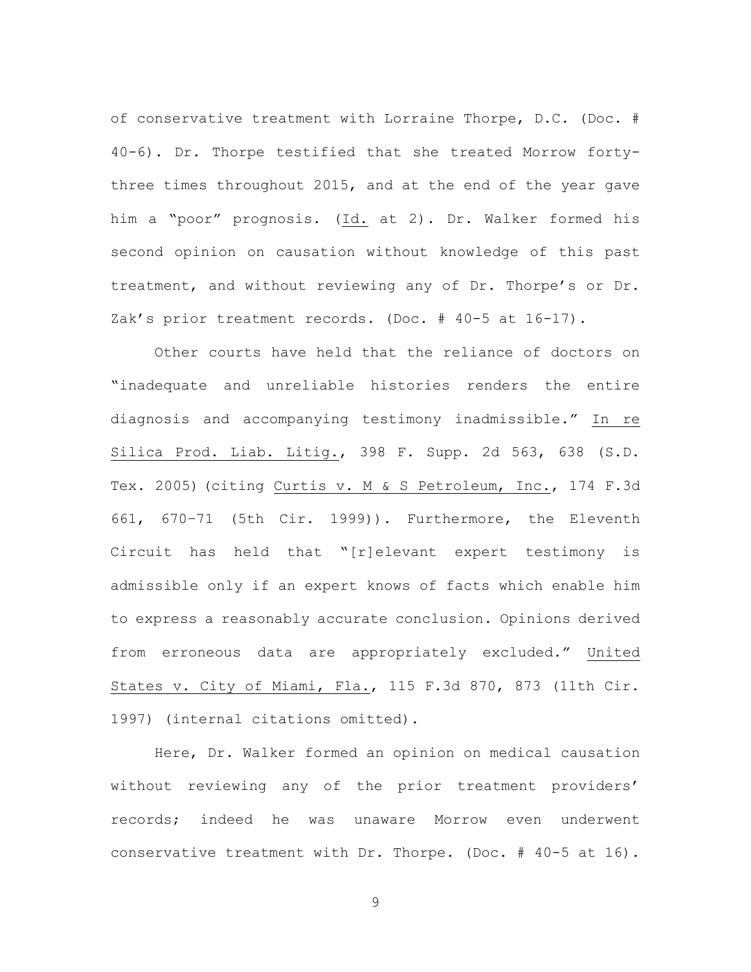of conservative treatment with Lorraine Thorpe, D.C. (Doc. # 40-6). Dr. Thorpe testified that she treated Morrow fortythree times throughout 2015, and at the end of the year gave him a "poor" prognosis. (Id. at 2). Dr. Walker formed his second opinion on causation without knowledge of this past treatment, and without reviewing any of Dr. Thorpe's or Dr. Zak's prior treatment records. (Doc. # 40-5 at 16-17).

Other courts have held that the reliance of doctors on "inadequate and unreliable histories renders the entire diagnosis and accompanying testimony inadmissible." In re Silica Prod. Liab. Litig., 398 F. Supp. 2d 563, 638 (S.D. Tex. 2005) (citing Curtis v. M & S Petroleum, Inc., 174 F.3d 661, 670–71 (5th Cir. 1999)). Furthermore, the Eleventh Circuit has held that "[r]elevant expert testimony is admissible only if an expert knows of facts which enable him to express a reasonably accurate conclusion. Opinions derived from erroneous data are appropriately excluded." United States v. City of Miami, Fla., 115 F.3d 870, 873 (11th Cir. 1997) (internal citations omitted).

Here, Dr. Walker formed an opinion on medical causation without reviewing any of the prior treatment providers' records; indeed he was unaware Morrow even underwent conservative treatment with Dr. Thorpe. (Doc. # 40-5 at 16).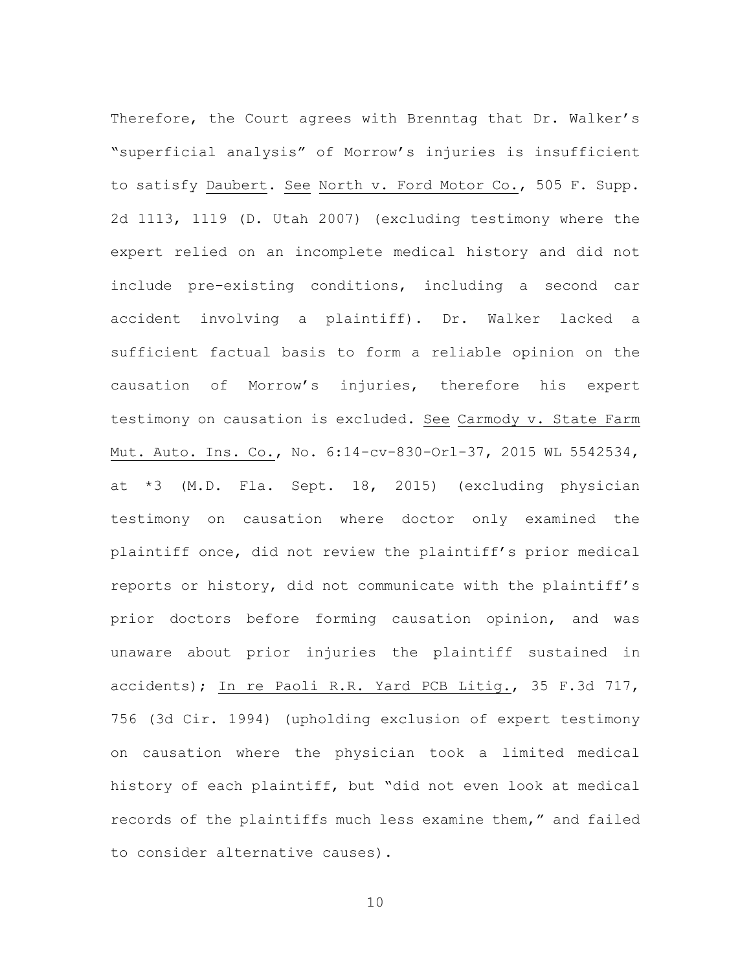Therefore, the Court agrees with Brenntag that Dr. Walker's "superficial analysis" of Morrow's injuries is insufficient to satisfy Daubert. See North v. Ford Motor Co., 505 F. Supp. 2d 1113, 1119 (D. Utah 2007) (excluding testimony where the expert relied on an incomplete medical history and did not include pre-existing conditions, including a second car accident involving a plaintiff). Dr. Walker lacked a sufficient factual basis to form a reliable opinion on the causation of Morrow's injuries, therefore his expert testimony on causation is excluded. See Carmody v. State Farm Mut. Auto. Ins. Co., No. 6:14-cv-830-Orl-37, 2015 WL 5542534, at \*3 (M.D. Fla. Sept. 18, 2015) (excluding physician testimony on causation where doctor only examined the plaintiff once, did not review the plaintiff's prior medical reports or history, did not communicate with the plaintiff's prior doctors before forming causation opinion, and was unaware about prior injuries the plaintiff sustained in accidents); In re Paoli R.R. Yard PCB Litig., 35 F.3d 717, 756 (3d Cir. 1994) (upholding exclusion of expert testimony on causation where the physician took a limited medical history of each plaintiff, but "did not even look at medical records of the plaintiffs much less examine them," and failed to consider alternative causes).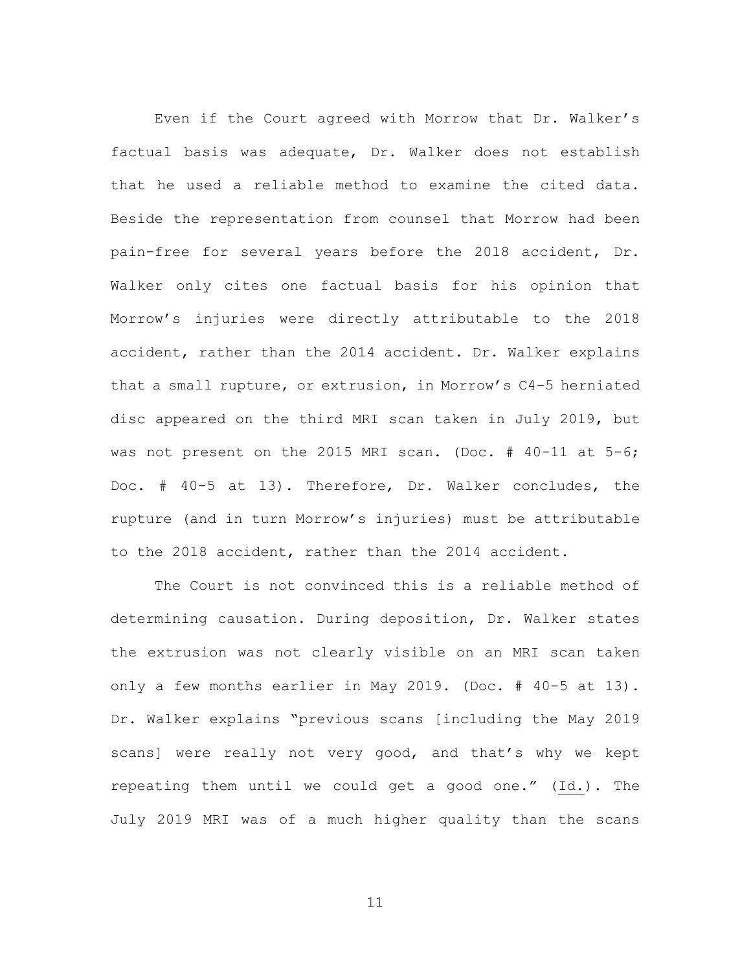Even if the Court agreed with Morrow that Dr. Walker's factual basis was adequate, Dr. Walker does not establish that he used a reliable method to examine the cited data. Beside the representation from counsel that Morrow had been pain-free for several years before the 2018 accident, Dr. Walker only cites one factual basis for his opinion that Morrow's injuries were directly attributable to the 2018 accident, rather than the 2014 accident. Dr. Walker explains that a small rupture, or extrusion, in Morrow's C4-5 herniated disc appeared on the third MRI scan taken in July 2019, but was not present on the 2015 MRI scan. (Doc. # 40-11 at 5-6; Doc. # 40-5 at 13). Therefore, Dr. Walker concludes, the rupture (and in turn Morrow's injuries) must be attributable to the 2018 accident, rather than the 2014 accident.

The Court is not convinced this is a reliable method of determining causation. During deposition, Dr. Walker states the extrusion was not clearly visible on an MRI scan taken only a few months earlier in May 2019. (Doc. # 40-5 at 13). Dr. Walker explains "previous scans [including the May 2019 scans] were really not very good, and that's why we kept repeating them until we could get a good one." (Id.). The July 2019 MRI was of a much higher quality than the scans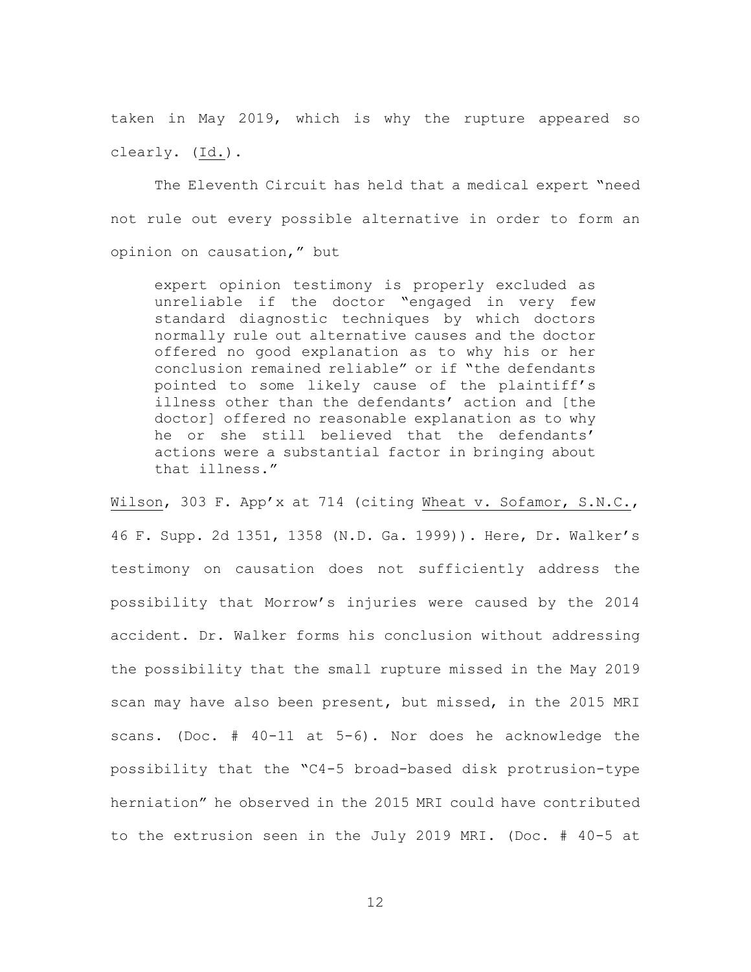taken in May 2019, which is why the rupture appeared so clearly. (Id.).

The Eleventh Circuit has held that a medical expert "need not rule out every possible alternative in order to form an opinion on causation," but

expert opinion testimony is properly excluded as unreliable if the doctor "engaged in very few standard diagnostic techniques by which doctors normally rule out alternative causes and the doctor offered no good explanation as to why his or her conclusion remained reliable" or if "the defendants pointed to some likely cause of the plaintiff's illness other than the defendants' action and [the doctor] offered no reasonable explanation as to why he or she still believed that the defendants' actions were a substantial factor in bringing about that illness."

Wilson, 303 F. App'x at 714 (citing Wheat v. Sofamor, S.N.C., 46 F. Supp. 2d 1351, 1358 (N.D. Ga. 1999)). Here, Dr. Walker's testimony on causation does not sufficiently address the possibility that Morrow's injuries were caused by the 2014 accident. Dr. Walker forms his conclusion without addressing the possibility that the small rupture missed in the May 2019 scan may have also been present, but missed, in the 2015 MRI scans. (Doc. # 40-11 at 5-6). Nor does he acknowledge the possibility that the "C4-5 broad-based disk protrusion-type herniation" he observed in the 2015 MRI could have contributed to the extrusion seen in the July 2019 MRI. (Doc. # 40-5 at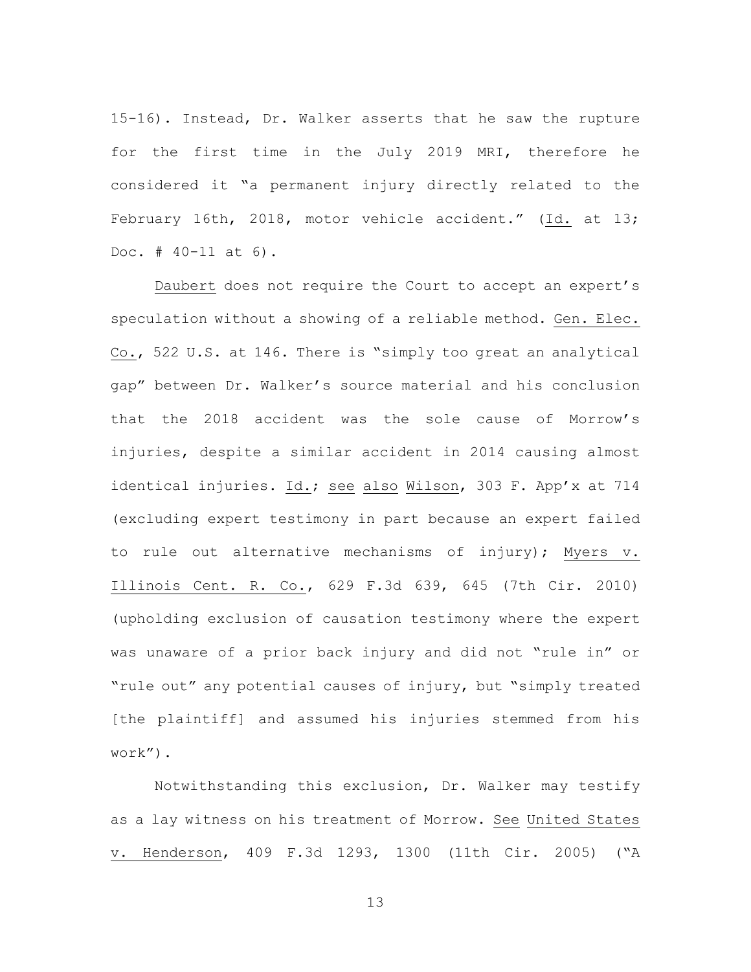15-16). Instead, Dr. Walker asserts that he saw the rupture for the first time in the July 2019 MRI, therefore he considered it "a permanent injury directly related to the February 16th, 2018, motor vehicle accident." (Id. at 13; Doc. # 40-11 at 6).

Daubert does not require the Court to accept an expert's speculation without a showing of a reliable method. Gen. Elec. Co., 522 U.S. at 146. There is "simply too great an analytical gap" between Dr. Walker's source material and his conclusion that the 2018 accident was the sole cause of Morrow's injuries, despite a similar accident in 2014 causing almost identical injuries. Id.; see also Wilson, 303 F. App'x at 714 (excluding expert testimony in part because an expert failed to rule out alternative mechanisms of injury); Myers v. Illinois Cent. R. Co., 629 F.3d 639, 645 (7th Cir. 2010) (upholding exclusion of causation testimony where the expert was unaware of a prior back injury and did not "rule in" or "rule out" any potential causes of injury, but "simply treated [the plaintiff] and assumed his injuries stemmed from his work").

Notwithstanding this exclusion, Dr. Walker may testify as a lay witness on his treatment of Morrow. See United States v. Henderson, 409 F.3d 1293, 1300 (11th Cir. 2005) ("A